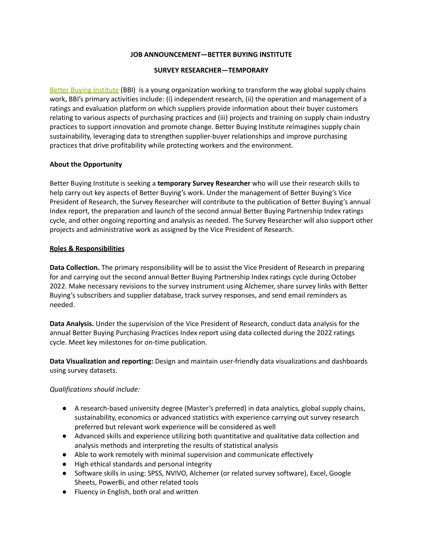## **JOB ANNOUNCEMENT—BETTER BUYING INSTITUTE**

#### **SURVEY RESEARCHER—TEMPORARY**

Better Buying [Institute](https://betterbuying.org/) (BBI) is a young organization working to transform the way global supply chains work, BBI's primary activities include: (i) independent research, (ii) the operation and management of a ratings and evaluation platform on which suppliers provide information about their buyer customers relating to various aspects of purchasing practices and (iii) projects and training on supply chain industry practices to support innovation and promote change. Better Buying Institute reimagines supply chain sustainability, leveraging data to strengthen supplier-buyer relationships and improve purchasing practices that drive profitability while protecting workers and the environment.

#### **About the Opportunity**

Better Buying Institute is seeking a **temporary Survey Researcher** who will use their research skills to help carry out key aspects of Better Buying's work. Under the management of Better Buying's Vice President of Research, the Survey Researcher will contribute to the publication of Better Buying's annual Index report, the preparation and launch of the second annual Better Buying Partnership Index ratings cycle, and other ongoing reporting and analysis as needed. The Survey Researcher will also support other projects and administrative work as assigned by the Vice President of Research.

#### **Roles & Responsibilities**

**Data Collection.** The primary responsibility will be to assist the Vice President of Research in preparing for and carrying out the second annual Better Buying Partnership Index ratings cycle during October 2022. Make necessary revisions to the survey instrument using Alchemer, share survey links with Better Buying's subscribers and supplier database, track survey responses, and send email reminders as needed.

**Data Analysis.** Under the supervision of the Vice President of Research, conduct data analysis for the annual Better Buying Purchasing Practices Index report using data collected during the 2022 ratings cycle. Meet key milestones for on-time publication.

**Data Visualization and reporting:** Design and maintain user-friendly data visualizations and dashboards using survey datasets.

#### *Qualifications should include:*

- A research-based university degree (Master's preferred) in data analytics, global supply chains, sustainability, economics or advanced statistics with experience carrying out survey research preferred but relevant work experience will be considered as well
- Advanced skills and experience utilizing both quantitative and qualitative data collection and analysis methods and interpreting the results of statistical analysis
- Able to work remotely with minimal supervision and communicate effectively
- High ethical standards and personal integrity
- Software skills in using: SPSS, NVIVO, Alchemer (or related survey software), Excel, Google Sheets, PowerBi, and other related tools
- Fluency in English, both oral and written